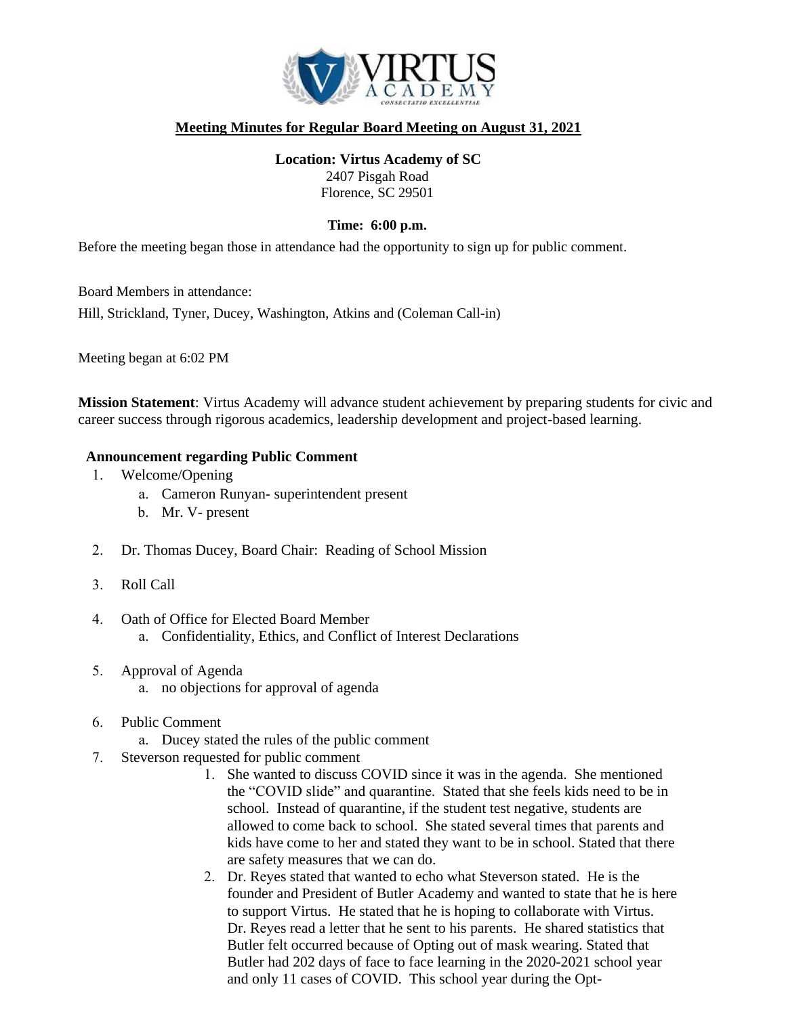

## **Meeting Minutes for Regular Board Meeting on August 31, 2021**

**Location: Virtus Academy of SC** 2407 Pisgah Road Florence, SC 29501

#### **Time: 6:00 p.m.**

Before the meeting began those in attendance had the opportunity to sign up for public comment.

Board Members in attendance:

Hill, Strickland, Tyner, Ducey, Washington, Atkins and (Coleman Call-in)

Meeting began at 6:02 PM

**Mission Statement**: Virtus Academy will advance student achievement by preparing students for civic and career success through rigorous academics, leadership development and project-based learning.

#### **Announcement regarding Public Comment**

- 1. Welcome/Opening
	- a. Cameron Runyan- superintendent present
	- b. Mr. V- present
- 2. Dr. Thomas Ducey, Board Chair: Reading of School Mission
- 3. Roll Call
- 4. Oath of Office for Elected Board Member
	- a. Confidentiality, Ethics, and Conflict of Interest Declarations
- 5. Approval of Agenda
	- a. no objections for approval of agenda
- 6. Public Comment
	- a. Ducey stated the rules of the public comment
- 7. Steverson requested for public comment
	- 1. She wanted to discuss COVID since it was in the agenda. She mentioned the "COVID slide" and quarantine. Stated that she feels kids need to be in school. Instead of quarantine, if the student test negative, students are allowed to come back to school. She stated several times that parents and kids have come to her and stated they want to be in school. Stated that there are safety measures that we can do.
	- 2. Dr. Reyes stated that wanted to echo what Steverson stated. He is the founder and President of Butler Academy and wanted to state that he is here to support Virtus. He stated that he is hoping to collaborate with Virtus. Dr. Reyes read a letter that he sent to his parents. He shared statistics that Butler felt occurred because of Opting out of mask wearing. Stated that Butler had 202 days of face to face learning in the 2020-2021 school year and only 11 cases of COVID. This school year during the Opt-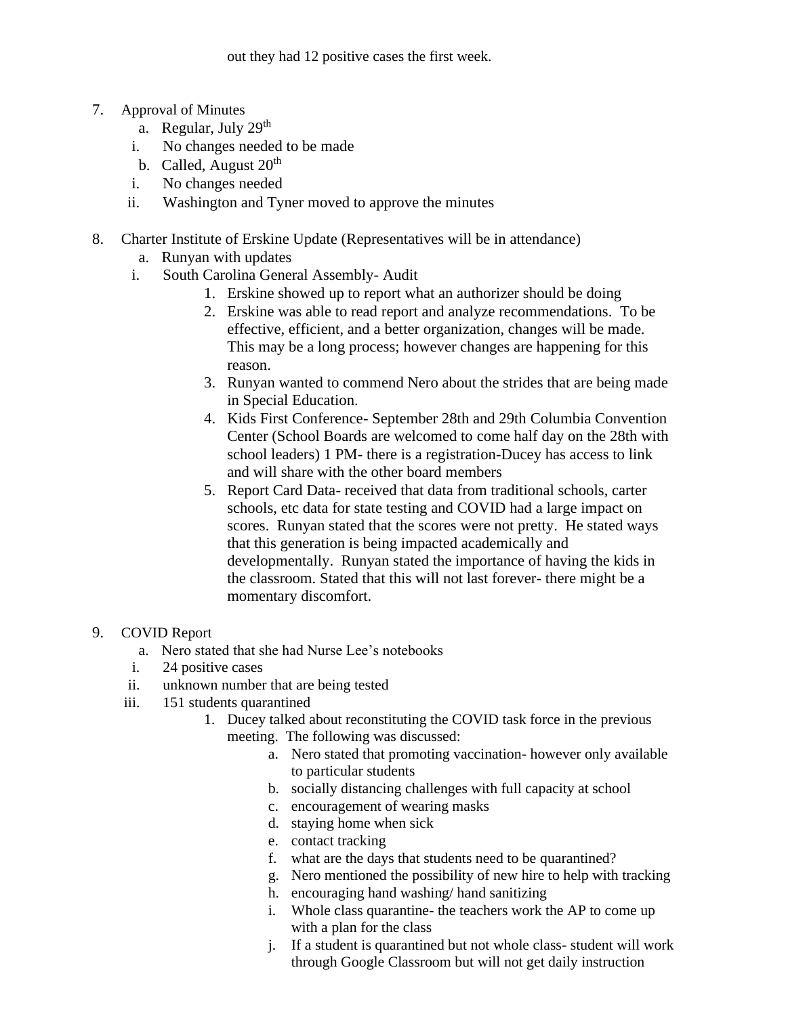out they had 12 positive cases the first week.

- 7. Approval of Minutes
	- a. Regular, July  $29<sup>th</sup>$
	- i. No changes needed to be made
	- b. Called, August  $20<sup>th</sup>$
	- i. No changes needed
	- ii. Washington and Tyner moved to approve the minutes
- 8. Charter Institute of Erskine Update (Representatives will be in attendance)
	- a. Runyan with updates
	- i. South Carolina General Assembly- Audit
		- 1. Erskine showed up to report what an authorizer should be doing
		- 2. Erskine was able to read report and analyze recommendations. To be effective, efficient, and a better organization, changes will be made. This may be a long process; however changes are happening for this reason.
		- 3. Runyan wanted to commend Nero about the strides that are being made in Special Education.
		- 4. Kids First Conference- September 28th and 29th Columbia Convention Center (School Boards are welcomed to come half day on the 28th with school leaders) 1 PM- there is a registration-Ducey has access to link and will share with the other board members
		- 5. Report Card Data- received that data from traditional schools, carter schools, etc data for state testing and COVID had a large impact on scores. Runyan stated that the scores were not pretty. He stated ways that this generation is being impacted academically and developmentally. Runyan stated the importance of having the kids in the classroom. Stated that this will not last forever- there might be a momentary discomfort.

#### 9. COVID Report

- a. Nero stated that she had Nurse Lee's notebooks
- i. 24 positive cases
- ii. unknown number that are being tested
- iii. 151 students quarantined
	- 1. Ducey talked about reconstituting the COVID task force in the previous
		- meeting. The following was discussed:
			- a. Nero stated that promoting vaccination- however only available to particular students
			- b. socially distancing challenges with full capacity at school
			- c. encouragement of wearing masks
			- d. staying home when sick
			- e. contact tracking
			- f. what are the days that students need to be quarantined?
			- g. Nero mentioned the possibility of new hire to help with tracking
			- h. encouraging hand washing/ hand sanitizing
			- i. Whole class quarantine- the teachers work the AP to come up with a plan for the class
			- j. If a student is quarantined but not whole class- student will work through Google Classroom but will not get daily instruction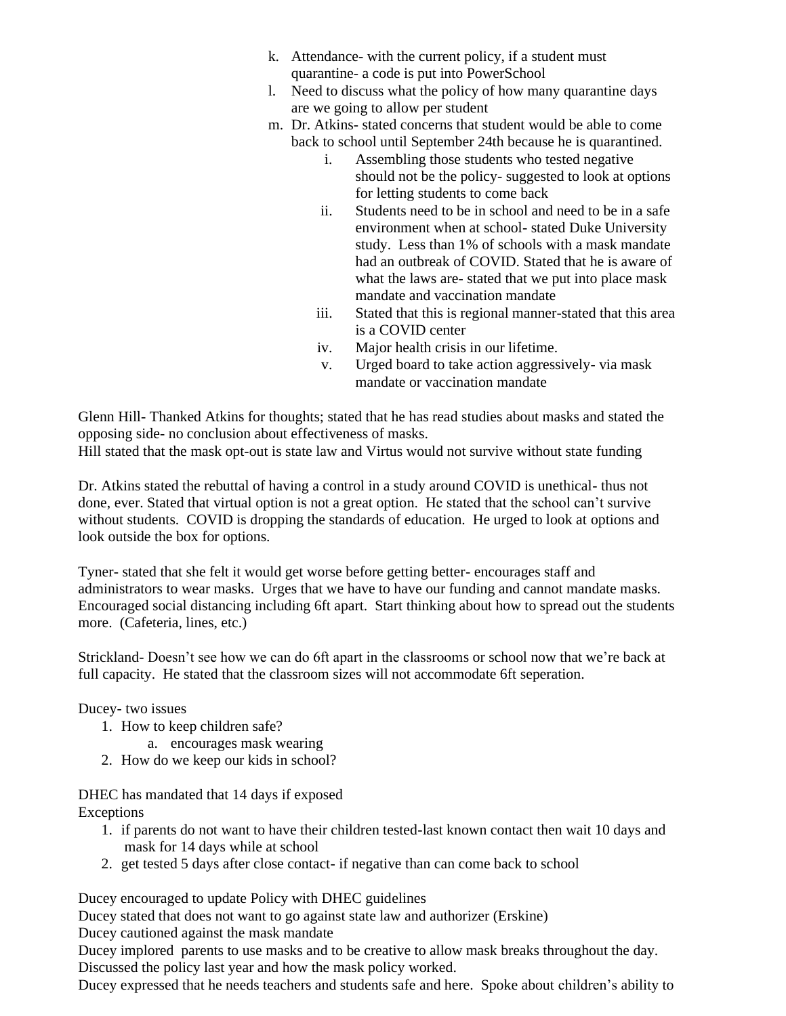- k. Attendance- with the current policy, if a student must quarantine- a code is put into PowerSchool
- l. Need to discuss what the policy of how many quarantine days are we going to allow per student
- m. Dr. Atkins- stated concerns that student would be able to come back to school until September 24th because he is quarantined.
	- i. Assembling those students who tested negative should not be the policy- suggested to look at options for letting students to come back
	- ii. Students need to be in school and need to be in a safe environment when at school- stated Duke University study. Less than 1% of schools with a mask mandate had an outbreak of COVID. Stated that he is aware of what the laws are- stated that we put into place mask mandate and vaccination mandate
	- iii. Stated that this is regional manner-stated that this area is a COVID center
	- iv. Major health crisis in our lifetime.
	- v. Urged board to take action aggressively- via mask mandate or vaccination mandate

Glenn Hill- Thanked Atkins for thoughts; stated that he has read studies about masks and stated the opposing side- no conclusion about effectiveness of masks. Hill stated that the mask opt-out is state law and Virtus would not survive without state funding

Dr. Atkins stated the rebuttal of having a control in a study around COVID is unethical- thus not done, ever. Stated that virtual option is not a great option. He stated that the school can't survive without students. COVID is dropping the standards of education. He urged to look at options and look outside the box for options.

Tyner- stated that she felt it would get worse before getting better- encourages staff and administrators to wear masks. Urges that we have to have our funding and cannot mandate masks. Encouraged social distancing including 6ft apart. Start thinking about how to spread out the students more. (Cafeteria, lines, etc.)

Strickland- Doesn't see how we can do 6ft apart in the classrooms or school now that we're back at full capacity. He stated that the classroom sizes will not accommodate 6ft seperation.

Ducey- two issues

- 1. How to keep children safe?
	- a. encourages mask wearing
- 2. How do we keep our kids in school?

DHEC has mandated that 14 days if exposed Exceptions

- 1. if parents do not want to have their children tested-last known contact then wait 10 days and mask for 14 days while at school
- 2. get tested 5 days after close contact- if negative than can come back to school

Ducey encouraged to update Policy with DHEC guidelines

Ducey stated that does not want to go against state law and authorizer (Erskine)

Ducey cautioned against the mask mandate

Ducey implored parents to use masks and to be creative to allow mask breaks throughout the day. Discussed the policy last year and how the mask policy worked.

Ducey expressed that he needs teachers and students safe and here. Spoke about children's ability to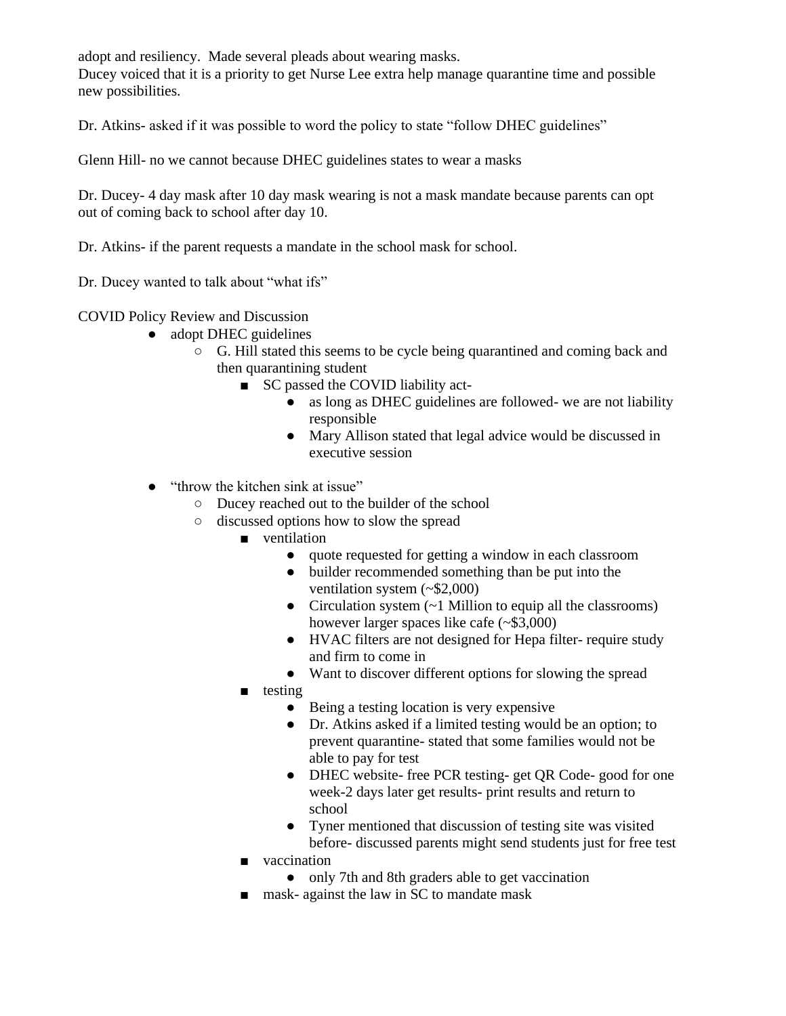adopt and resiliency. Made several pleads about wearing masks.

Ducey voiced that it is a priority to get Nurse Lee extra help manage quarantine time and possible new possibilities.

Dr. Atkins- asked if it was possible to word the policy to state "follow DHEC guidelines"

Glenn Hill- no we cannot because DHEC guidelines states to wear a masks

Dr. Ducey- 4 day mask after 10 day mask wearing is not a mask mandate because parents can opt out of coming back to school after day 10.

Dr. Atkins- if the parent requests a mandate in the school mask for school.

Dr. Ducey wanted to talk about "what ifs"

COVID Policy Review and Discussion

- adopt DHEC guidelines
	- G. Hill stated this seems to be cycle being quarantined and coming back and then quarantining student
		- SC passed the COVID liability act-
			- as long as DHEC guidelines are followed- we are not liability responsible
			- Mary Allison stated that legal advice would be discussed in executive session
- "throw the kitchen sink at issue"
	- Ducey reached out to the builder of the school
	- discussed options how to slow the spread
		- ventilation
			- quote requested for getting a window in each classroom
			- builder recommended something than be put into the ventilation system (~\$2,000)
			- Circulation system  $(-1$  Million to equip all the classrooms) however larger spaces like cafe (~\$3,000)
			- HVAC filters are not designed for Hepa filter- require study and firm to come in
			- Want to discover different options for slowing the spread
		- testing
			- Being a testing location is very expensive
			- Dr. Atkins asked if a limited testing would be an option; to prevent quarantine- stated that some families would not be able to pay for test
			- DHEC website- free PCR testing- get QR Code- good for one week-2 days later get results- print results and return to school
			- Tyner mentioned that discussion of testing site was visited before- discussed parents might send students just for free test
		- vaccination
			- only 7th and 8th graders able to get vaccination
		- mask- against the law in SC to mandate mask